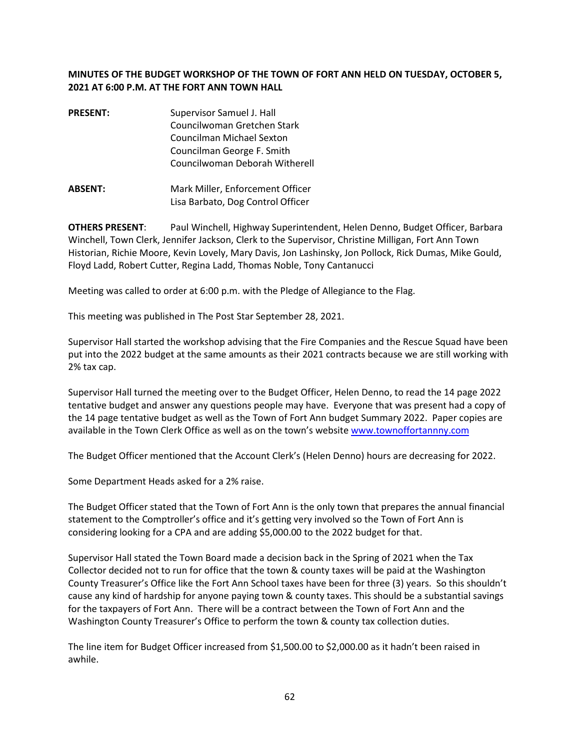## **MINUTES OF THE BUDGET WORKSHOP OF THE TOWN OF FORT ANN HELD ON TUESDAY, OCTOBER 5, 2021 AT 6:00 P.M. AT THE FORT ANN TOWN HALL**

- **PRESENT:** Supervisor Samuel J. Hall Councilwoman Gretchen Stark Councilman Michael Sexton Councilman George F. Smith Councilwoman Deborah Witherell
- **ABSENT:** Mark Miller, Enforcement Officer Lisa Barbato, Dog Control Officer

**OTHERS PRESENT**: Paul Winchell, Highway Superintendent, Helen Denno, Budget Officer, Barbara Winchell, Town Clerk, Jennifer Jackson, Clerk to the Supervisor, Christine Milligan, Fort Ann Town Historian, Richie Moore, Kevin Lovely, Mary Davis, Jon Lashinsky, Jon Pollock, Rick Dumas, Mike Gould, Floyd Ladd, Robert Cutter, Regina Ladd, Thomas Noble, Tony Cantanucci

Meeting was called to order at 6:00 p.m. with the Pledge of Allegiance to the Flag.

This meeting was published in The Post Star September 28, 2021.

Supervisor Hall started the workshop advising that the Fire Companies and the Rescue Squad have been put into the 2022 budget at the same amounts as their 2021 contracts because we are still working with 2% tax cap.

Supervisor Hall turned the meeting over to the Budget Officer, Helen Denno, to read the 14 page 2022 tentative budget and answer any questions people may have. Everyone that was present had a copy of the 14 page tentative budget as well as the Town of Fort Ann budget Summary 2022. Paper copies are available in the Town Clerk Office as well as on the town's website www.townoffortannny.com

The Budget Officer mentioned that the Account Clerk's (Helen Denno) hours are decreasing for 2022.

Some Department Heads asked for a 2% raise.

The Budget Officer stated that the Town of Fort Ann is the only town that prepares the annual financial statement to the Comptroller's office and it's getting very involved so the Town of Fort Ann is considering looking for a CPA and are adding \$5,000.00 to the 2022 budget for that.

Supervisor Hall stated the Town Board made a decision back in the Spring of 2021 when the Tax Collector decided not to run for office that the town & county taxes will be paid at the Washington County Treasurer's Office like the Fort Ann School taxes have been for three (3) years. So this shouldn't cause any kind of hardship for anyone paying town & county taxes. This should be a substantial savings for the taxpayers of Fort Ann. There will be a contract between the Town of Fort Ann and the Washington County Treasurer's Office to perform the town & county tax collection duties.

The line item for Budget Officer increased from \$1,500.00 to \$2,000.00 as it hadn't been raised in awhile.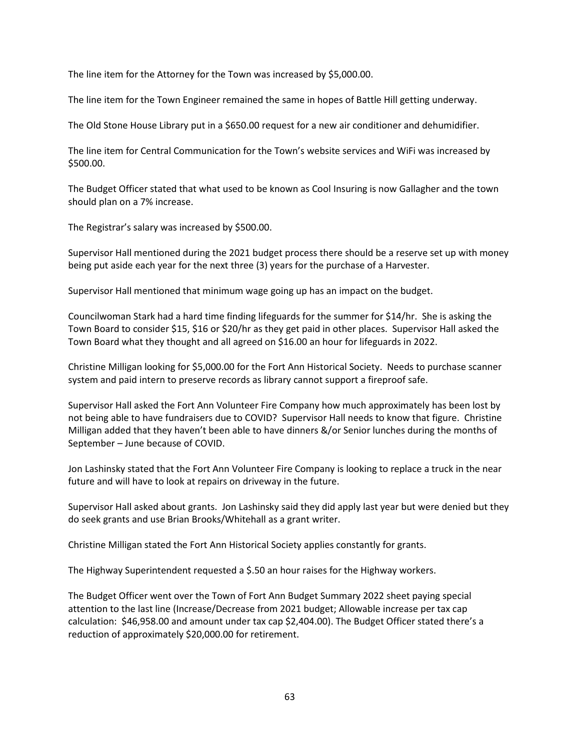The line item for the Attorney for the Town was increased by \$5,000.00.

The line item for the Town Engineer remained the same in hopes of Battle Hill getting underway.

The Old Stone House Library put in a \$650.00 request for a new air conditioner and dehumidifier.

The line item for Central Communication for the Town's website services and WiFi was increased by \$500.00.

The Budget Officer stated that what used to be known as Cool Insuring is now Gallagher and the town should plan on a 7% increase.

The Registrar's salary was increased by \$500.00.

Supervisor Hall mentioned during the 2021 budget process there should be a reserve set up with money being put aside each year for the next three (3) years for the purchase of a Harvester.

Supervisor Hall mentioned that minimum wage going up has an impact on the budget.

Councilwoman Stark had a hard time finding lifeguards for the summer for \$14/hr. She is asking the Town Board to consider \$15, \$16 or \$20/hr as they get paid in other places. Supervisor Hall asked the Town Board what they thought and all agreed on \$16.00 an hour for lifeguards in 2022.

Christine Milligan looking for \$5,000.00 for the Fort Ann Historical Society. Needs to purchase scanner system and paid intern to preserve records as library cannot support a fireproof safe.

Supervisor Hall asked the Fort Ann Volunteer Fire Company how much approximately has been lost by not being able to have fundraisers due to COVID? Supervisor Hall needs to know that figure. Christine Milligan added that they haven't been able to have dinners &/or Senior lunches during the months of September – June because of COVID.

Jon Lashinsky stated that the Fort Ann Volunteer Fire Company is looking to replace a truck in the near future and will have to look at repairs on driveway in the future.

Supervisor Hall asked about grants. Jon Lashinsky said they did apply last year but were denied but they do seek grants and use Brian Brooks/Whitehall as a grant writer.

Christine Milligan stated the Fort Ann Historical Society applies constantly for grants.

The Highway Superintendent requested a \$.50 an hour raises for the Highway workers.

The Budget Officer went over the Town of Fort Ann Budget Summary 2022 sheet paying special attention to the last line (Increase/Decrease from 2021 budget; Allowable increase per tax cap calculation: \$46,958.00 and amount under tax cap \$2,404.00). The Budget Officer stated there's a reduction of approximately \$20,000.00 for retirement.